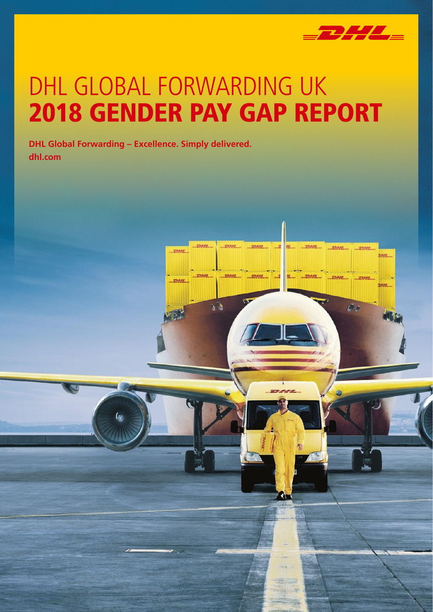

**STRAN** 

E) i

 $\mathcal{L}_{\mathcal{L}}$ 

pasa

page

# DHL GLOBAL FORWARDING UK 2018 GENDER PAY GAP REPORT

**DHL Global Forwarding – Excellence. Simply delivered. dhl.com**

<u>mess</u>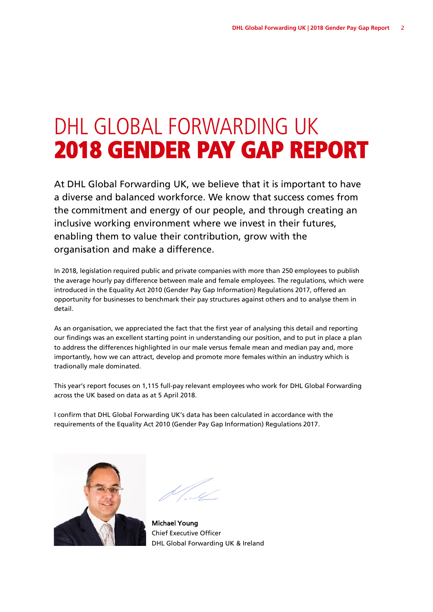### DHL GLOBAL FORWARDING UK 2018 GENDER PAY GAP REPORT

At DHL Global Forwarding UK, we believe that it is important to have a diverse and balanced workforce. We know that success comes from the commitment and energy of our people, and through creating an inclusive working environment where we invest in their futures, enabling them to value their contribution, grow with the organisation and make a difference.

In 2018, legislation required public and private companies with more than 250 employees to publish the average hourly pay difference between male and female employees. The regulations, which were introduced in the Equality Act 2010 (Gender Pay Gap Information) Regulations 2017, offered an opportunity for businesses to benchmark their pay structures against others and to analyse them in detail.

As an organisation, we appreciated the fact that the first year of analysing this detail and reporting our findings was an excellent starting point in understanding our position, and to put in place a plan to address the differences highlighted in our male versus female mean and median pay and, more importantly, how we can attract, develop and promote more females within an industry which is tradionally male dominated.

This year's report focuses on 1,115 full-pay relevant employees who work for DHL Global Forwarding across the UK based on data as at 5 April 2018.

I confirm that DHL Global Forwarding UK's data has been calculated in accordance with the requirements of the Equality Act 2010 (Gender Pay Gap Information) Regulations 2017.



Michael Young Chief Executive Officer DHL Global Forwarding UK & Ireland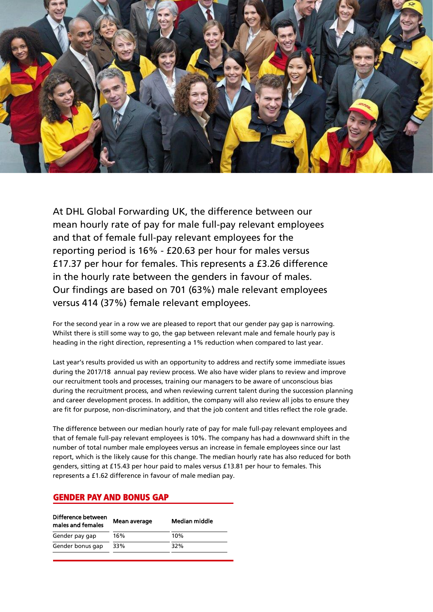

At DHL Global Forwarding UK, the difference between our mean hourly rate of pay for male full-pay relevant employees and that of female full-pay relevant employees for the reporting period is 16% - £20.63 per hour for males versus £17.37 per hour for females. This represents a £3.26 difference in the hourly rate between the genders in favour of males. Our findings are based on 701 (63%) male relevant employees versus 414 (37%) female relevant employees.

For the second year in a row we are pleased to report that our gender pay gap is narrowing. Whilst there is still some way to go, the gap between relevant male and female hourly pay is heading in the right direction, representing a 1% reduction when compared to last year.

Last year's results provided us with an opportunity to address and rectify some immediate issues during the 2017/18 annual pay review process. We also have wider plans to review and improve our recruitment tools and processes, training our managers to be aware of unconscious bias during the recruitment process, and when reviewing current talent during the succession planning and career development process. In addition, the company will also review all jobs to ensure they are fit for purpose, non-discriminatory, and that the job content and titles reflect the role grade.

The difference between our median hourly rate of pay for male full-pay relevant employees and that of female full-pay relevant employees is 10%. The company has had a downward shift in the number of total number male employees versus an increase in female employees since our last report, which is the likely cause for this change. The median hourly rate has also reduced for both genders, sitting at £15.43 per hour paid to males versus £13.81 per hour to females. This represents a £1.62 difference in favour of male median pay.

#### GENDER PAY AND BONUS GAP

| Difference between<br>males and females | Mean average | Median middle |
|-----------------------------------------|--------------|---------------|
| Gender pay gap                          | 16%          | 10%           |
| Gender bonus gap                        | 33%          | 32%           |
|                                         |              |               |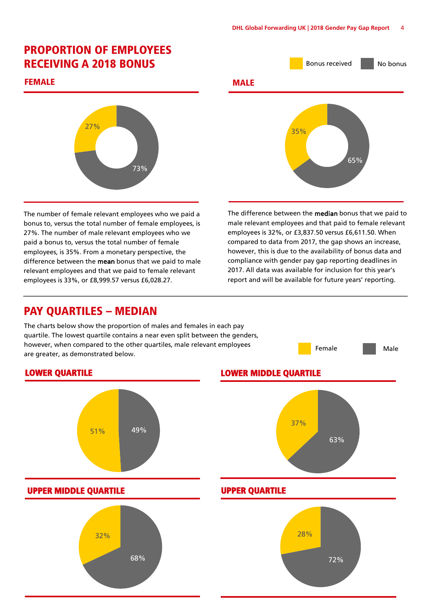## PROPORTION OF EMPLOYEES

#### FEMALE



The number of female relevant employees who we paid a bonus to, versus the total number of female employees, is 27%. The number of male relevant employees who we paid a bonus to, versus the total number of female employees, is 35%. From a monetary perspective, the difference between the **mean** bonus that we paid to male relevant employees and that we paid to female relevant employees is 33%, or £8,999.57 versus £6,028.27.

### PAY QUARTILES – MEDIAN

The charts below show the proportion of males and females in each pay quartile. The lowest quartile contains a near even split between the genders, however, when compared to the other quartiles, male relevant employees are greater, as demonstrated below.





The difference between the median bonus that we paid to male relevant employees and that paid to female relevant employees is 32%, or £3,837.50 versus £6,611.50. When compared to data from 2017, the gap shows an increase, however, this is due to the availability of bonus data and compliance with gender pay gap reporting deadlines in 2017. All data was available for inclusion for this year's report and will be available for future years' reporting.

Female **Male**